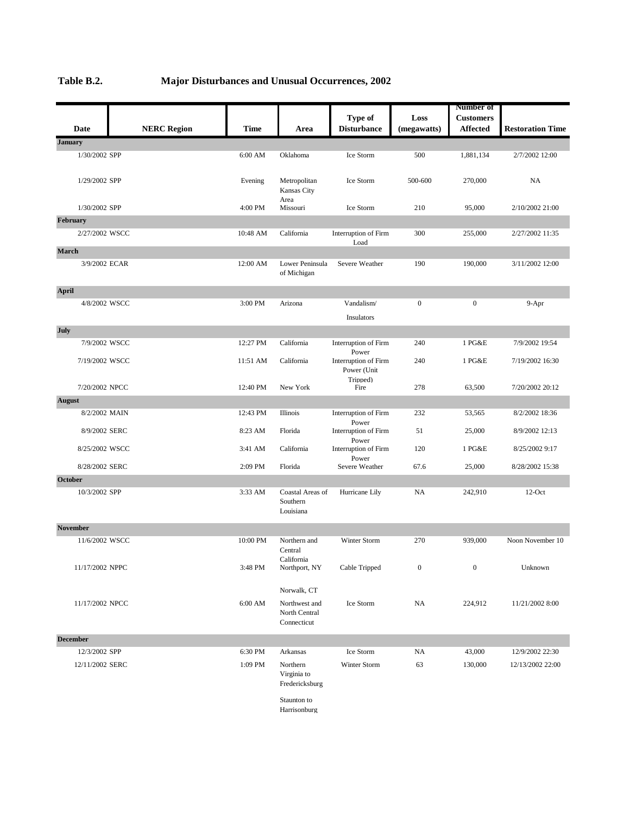|                                 |                    |             |                                |                               |                  | <b>Number of</b> |                         |
|---------------------------------|--------------------|-------------|--------------------------------|-------------------------------|------------------|------------------|-------------------------|
|                                 |                    |             |                                | Type of                       | Loss             | <b>Customers</b> |                         |
| Date                            | <b>NERC Region</b> | <b>Time</b> | Area                           | <b>Disturbance</b>            | (megawatts)      | <b>Affected</b>  | <b>Restoration Time</b> |
| <b>January</b>                  |                    |             |                                |                               |                  |                  |                         |
| 1/30/2002 SPP                   |                    | 6:00 AM     | Oklahoma                       | Ice Storm                     | 500              | 1,881,134        | 2/7/2002 12:00          |
|                                 |                    |             |                                |                               |                  |                  |                         |
| 1/29/2002 SPP                   |                    | Evening     | Metropolitan                   | Ice Storm                     | 500-600          | 270,000          | NA.                     |
|                                 |                    |             | Kansas City                    |                               |                  |                  |                         |
| 1/30/2002 SPP                   |                    | 4:00 PM     | Area<br>Missouri               | Ice Storm                     | 210              | 95,000           | 2/10/2002 21:00         |
| February                        |                    |             |                                |                               |                  |                  |                         |
| 2/27/2002 WSCC                  |                    | 10:48 AM    | California                     | Interruption of Firm          | 300              | 255,000          | 2/27/2002 11:35         |
|                                 |                    |             |                                | Load                          |                  |                  |                         |
| <b>March</b>                    |                    |             |                                |                               |                  |                  |                         |
| 3/9/2002 ECAR                   |                    | 12:00 AM    | Lower Peninsula<br>of Michigan | Severe Weather                | 190              | 190,000          | 3/11/2002 12:00         |
|                                 |                    |             |                                |                               |                  |                  |                         |
| <b>April</b>                    |                    |             |                                |                               |                  |                  |                         |
| 4/8/2002 WSCC                   |                    | 3:00 PM     | Arizona                        | Vandalism/                    | $\overline{0}$   | $\overline{0}$   | $9-$ Apr                |
|                                 |                    |             |                                | Insulators                    |                  |                  |                         |
| July                            |                    |             |                                |                               |                  |                  |                         |
| 7/9/2002 WSCC                   |                    | 12:27 PM    | California                     | Interruption of Firm          | 240              | 1 PG&E           | 7/9/2002 19:54          |
| 7/19/2002 WSCC                  |                    | 11:51 AM    | California                     | Power<br>Interruption of Firm | 240              | 1 PG&E           | 7/19/2002 16:30         |
|                                 |                    |             |                                | Power (Unit                   |                  |                  |                         |
|                                 |                    | 12:40 PM    | New York                       | Tripped)<br>Fire              | 278              | 63,500           | 7/20/2002 20:12         |
| 7/20/2002 NPCC<br><b>August</b> |                    |             |                                |                               |                  |                  |                         |
| 8/2/2002 MAIN                   |                    | 12:43 PM    | Illinois                       | Interruption of Firm          | 232              | 53,565           | 8/2/2002 18:36          |
|                                 |                    |             |                                | Power                         |                  |                  |                         |
| 8/9/2002 SERC                   |                    | 8:23 AM     | Florida                        | Interruption of Firm          | 51               | 25,000           | 8/9/2002 12:13          |
| 8/25/2002 WSCC                  |                    | 3:41 AM     | California                     | Power<br>Interruption of Firm | 120              | 1 PG&E           | 8/25/2002 9:17          |
|                                 |                    |             |                                | Power                         |                  |                  |                         |
| 8/28/2002 SERC                  |                    | 2:09 PM     | Florida                        | Severe Weather                | 67.6             | 25,000           | 8/28/2002 15:38         |
| October                         |                    |             |                                |                               |                  |                  |                         |
| 10/3/2002 SPP                   |                    | 3:33 AM     | Coastal Areas of<br>Southern   | Hurricane Lily                | NA               | 242,910          | $12$ -Oct               |
|                                 |                    |             | Louisiana                      |                               |                  |                  |                         |
| <b>November</b>                 |                    |             |                                |                               |                  |                  |                         |
| 11/6/2002 WSCC                  |                    | 10:00 PM    | Northern and                   | Winter Storm                  | 270              | 939,000          | Noon November 10        |
|                                 |                    |             | Central                        |                               |                  |                  |                         |
|                                 |                    |             | $\operatorname{California}$    |                               |                  |                  |                         |
| 11/17/2002 NPPC                 |                    | 3:48 PM     | Northport, NY                  | Cable Tripped                 | $\boldsymbol{0}$ | $\boldsymbol{0}$ | Unknown                 |
|                                 |                    |             | Norwalk, CT                    |                               |                  |                  |                         |
| 11/17/2002 NPCC                 |                    | 6:00 AM     | Northwest and                  | Ice Storm                     | <b>NA</b>        | 224,912          | 11/21/2002 8:00         |
|                                 |                    |             | North Central                  |                               |                  |                  |                         |
|                                 |                    |             | Connecticut                    |                               |                  |                  |                         |
| <b>December</b>                 |                    |             |                                |                               |                  |                  |                         |
| 12/3/2002 SPP                   |                    | 6:30 PM     | Arkansas                       | Ice Storm                     | NA               | 43,000           | 12/9/2002 22:30         |
| 12/11/2002 SERC                 |                    | 1:09 PM     | Northern                       | Winter Storm                  | 63               | 130,000          | 12/13/2002 22:00        |
|                                 |                    |             | Virginia to                    |                               |                  |                  |                         |
|                                 |                    |             | Fredericksburg                 |                               |                  |                  |                         |

Staunton to Harrisonburg